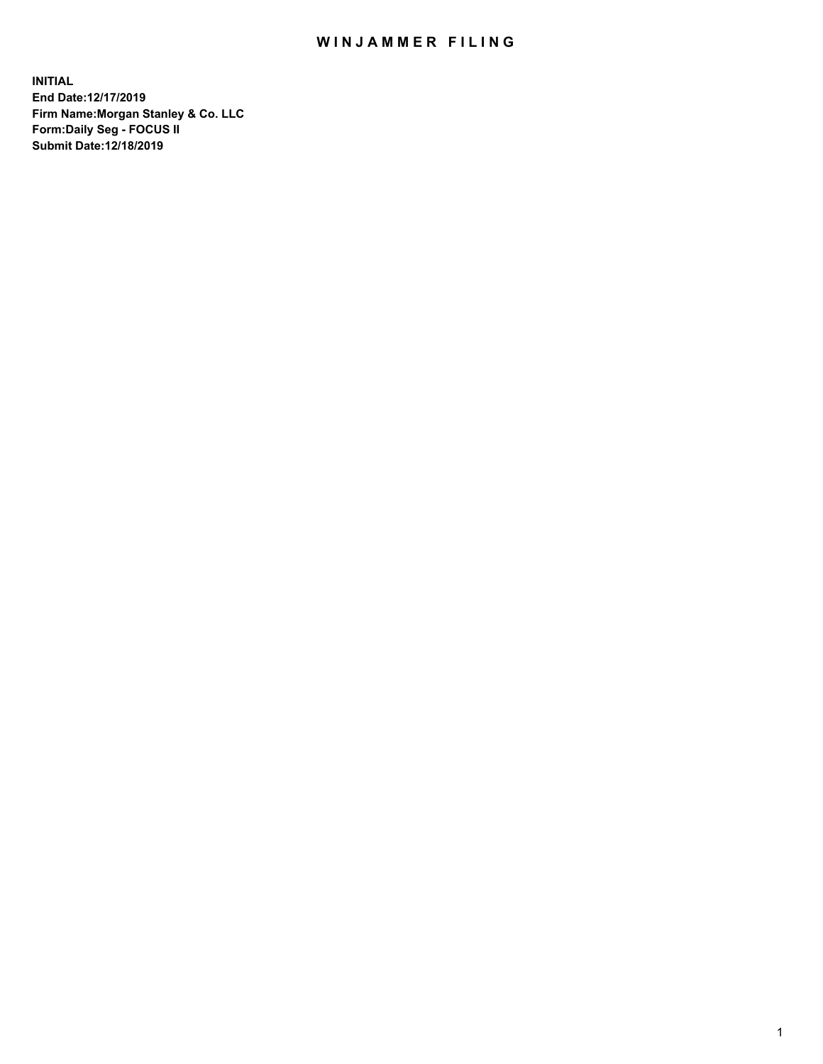## WIN JAMMER FILING

**INITIAL End Date:12/17/2019 Firm Name:Morgan Stanley & Co. LLC Form:Daily Seg - FOCUS II Submit Date:12/18/2019**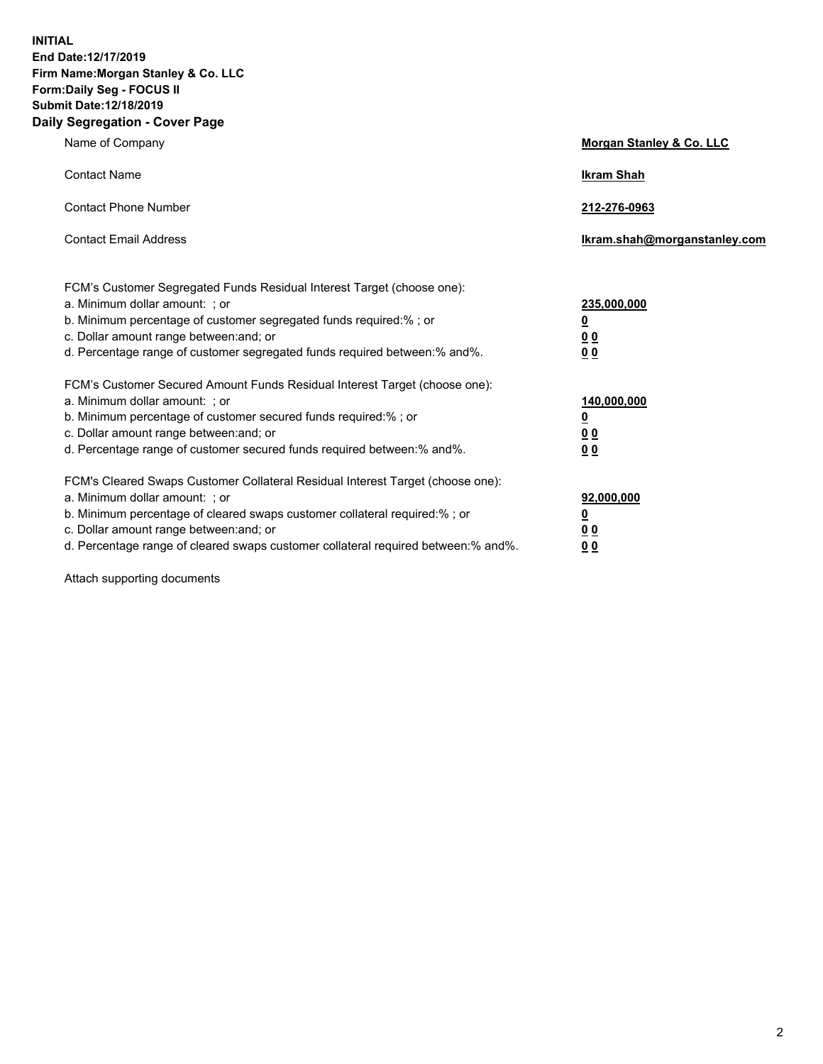**INITIAL End Date:12/17/2019 Firm Name:Morgan Stanley & Co. LLC Form:Daily Seg - FOCUS II Submit Date:12/18/2019 Daily Segregation - Cover Page**

| Name of Company                                                                                                                                                                                                                                                                                                               | Morgan Stanley & Co. LLC                                    |
|-------------------------------------------------------------------------------------------------------------------------------------------------------------------------------------------------------------------------------------------------------------------------------------------------------------------------------|-------------------------------------------------------------|
| <b>Contact Name</b>                                                                                                                                                                                                                                                                                                           | <b>Ikram Shah</b>                                           |
| <b>Contact Phone Number</b>                                                                                                                                                                                                                                                                                                   | 212-276-0963                                                |
| <b>Contact Email Address</b>                                                                                                                                                                                                                                                                                                  | Ikram.shah@morganstanley.com                                |
| FCM's Customer Segregated Funds Residual Interest Target (choose one):<br>a. Minimum dollar amount: ; or<br>b. Minimum percentage of customer segregated funds required:% ; or<br>c. Dollar amount range between: and; or<br>d. Percentage range of customer segregated funds required between:% and%.                        | 235,000,000<br><u>0</u><br>0 Q<br><u>00</u>                 |
| FCM's Customer Secured Amount Funds Residual Interest Target (choose one):<br>a. Minimum dollar amount: ; or<br>b. Minimum percentage of customer secured funds required:%; or<br>c. Dollar amount range between: and; or<br>d. Percentage range of customer secured funds required between:% and%.                           | 140,000,000<br><u>0</u><br>0 <sub>0</sub><br>0 <sup>0</sup> |
| FCM's Cleared Swaps Customer Collateral Residual Interest Target (choose one):<br>a. Minimum dollar amount: ; or<br>b. Minimum percentage of cleared swaps customer collateral required:%; or<br>c. Dollar amount range between: and; or<br>d. Percentage range of cleared swaps customer collateral required between:% and%. | 92,000,000<br><u>0</u><br><u>00</u><br>00                   |

Attach supporting documents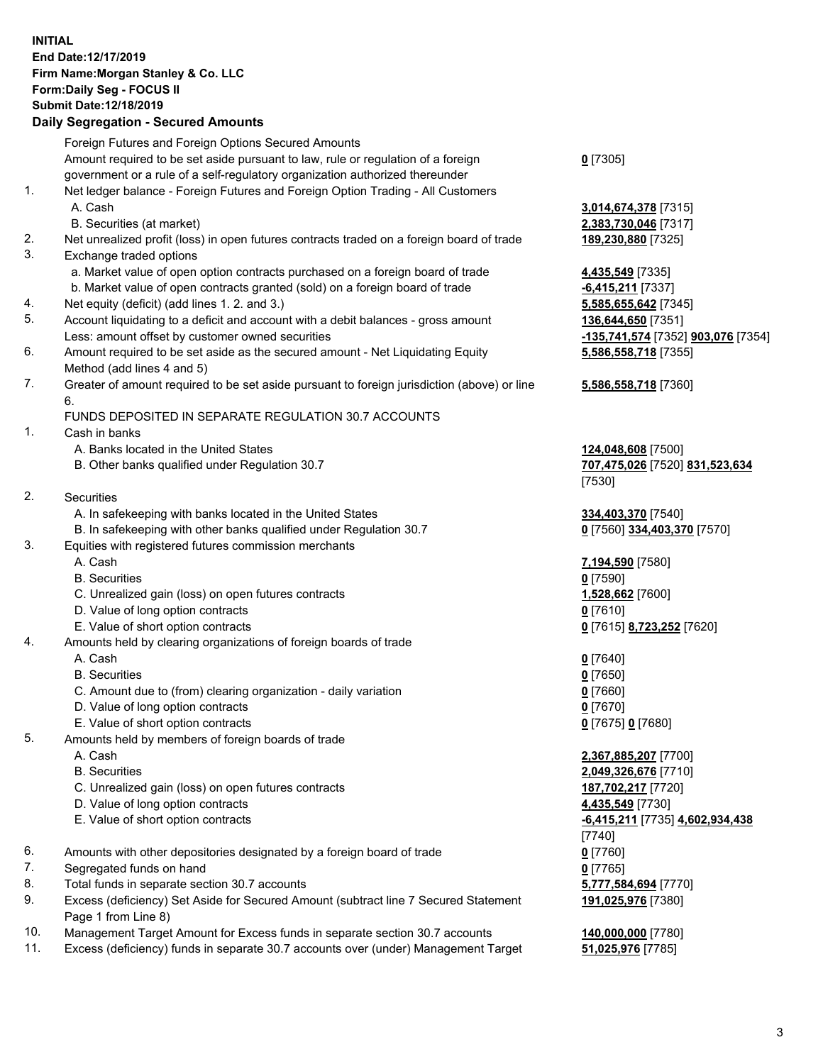## **INITIAL End Date:12/17/2019 Firm Name:Morgan Stanley & Co. LLC Form:Daily Seg - FOCUS II Submit Date:12/18/2019**

## **Daily Segregation - Secured Amounts**

Foreign Futures and Foreign Options Secured Amounts Amount required to be set aside pursuant to law, rule or regulation of a foreign government or a rule of a self-regulatory organization authorized thereunder 1. Net ledger balance - Foreign Futures and Foreign Option Trading - All Customers A. Cash **3,014,674,378** [7315] B. Securities (at market) **2,383,730,046** [7317] 2. Net unrealized profit (loss) in open futures contracts traded on a foreign board of trade **189,230,880** [7325] 3. Exchange traded options a. Market value of open option contracts purchased on a foreign board of trade **4,435,549** [7335] b. Market value of open contracts granted (sold) on a foreign board of trade **-6,415,211** [7337] 4. Net equity (deficit) (add lines 1. 2. and 3.) **5,585,655,642** [7345] 5. Account liquidating to a deficit and account with a debit balances - gross amount **136,644,650** [7351] Less: amount offset by customer owned securities **-135,741,574** [7352] **903,076** [7354] 6. Amount required to be set aside as the secured amount - Net Liquidating Equity Method (add lines 4 and 5) 7. Greater of amount required to be set aside pursuant to foreign jurisdiction (above) or line 6. FUNDS DEPOSITED IN SEPARATE REGULATION 30.7 ACCOUNTS 1. Cash in banks A. Banks located in the United States **124,048,608** [7500] B. Other banks qualified under Regulation 30.7 **707,475,026** [7520] **831,523,634** 2. Securities A. In safekeeping with banks located in the United States **334,403,370** [7540] B. In safekeeping with other banks qualified under Regulation 30.7 **0** [7560] **334,403,370** [7570] 3. Equities with registered futures commission merchants A. Cash **7,194,590** [7580] B. Securities **0** [7590] C. Unrealized gain (loss) on open futures contracts **1,528,662** [7600] D. Value of long option contracts **0** [7610] E. Value of short option contracts **0** [7615] **8,723,252** [7620] 4. Amounts held by clearing organizations of foreign boards of trade A. Cash **0** [7640] B. Securities **0** [7650] C. Amount due to (from) clearing organization - daily variation **0** [7660] D. Value of long option contracts **0** [7670] E. Value of short option contracts **0** [7675] **0** [7680] 5. Amounts held by members of foreign boards of trade A. Cash **2,367,885,207** [7700] B. Securities **2,049,326,676** [7710] C. Unrealized gain (loss) on open futures contracts **187,702,217** [7720] D. Value of long option contracts **4,435,549** [7730] E. Value of short option contracts **-6,415,211** [7735] **4,602,934,438** 6. Amounts with other depositories designated by a foreign board of trade **0** [7760] 7. Segregated funds on hand **0** [7765] 8. Total funds in separate section 30.7 accounts **5,777,584,694** [7770] 9. Excess (deficiency) Set Aside for Secured Amount (subtract line 7 Secured Statement Page 1 from Line 8)

- 10. Management Target Amount for Excess funds in separate section 30.7 accounts **140,000,000** [7780]
- 11. Excess (deficiency) funds in separate 30.7 accounts over (under) Management Target **51,025,976** [7785]

**0** [7305]

**5,586,558,718** [7355]

## **5,586,558,718** [7360]

[7530]

[7740] **191,025,976** [7380]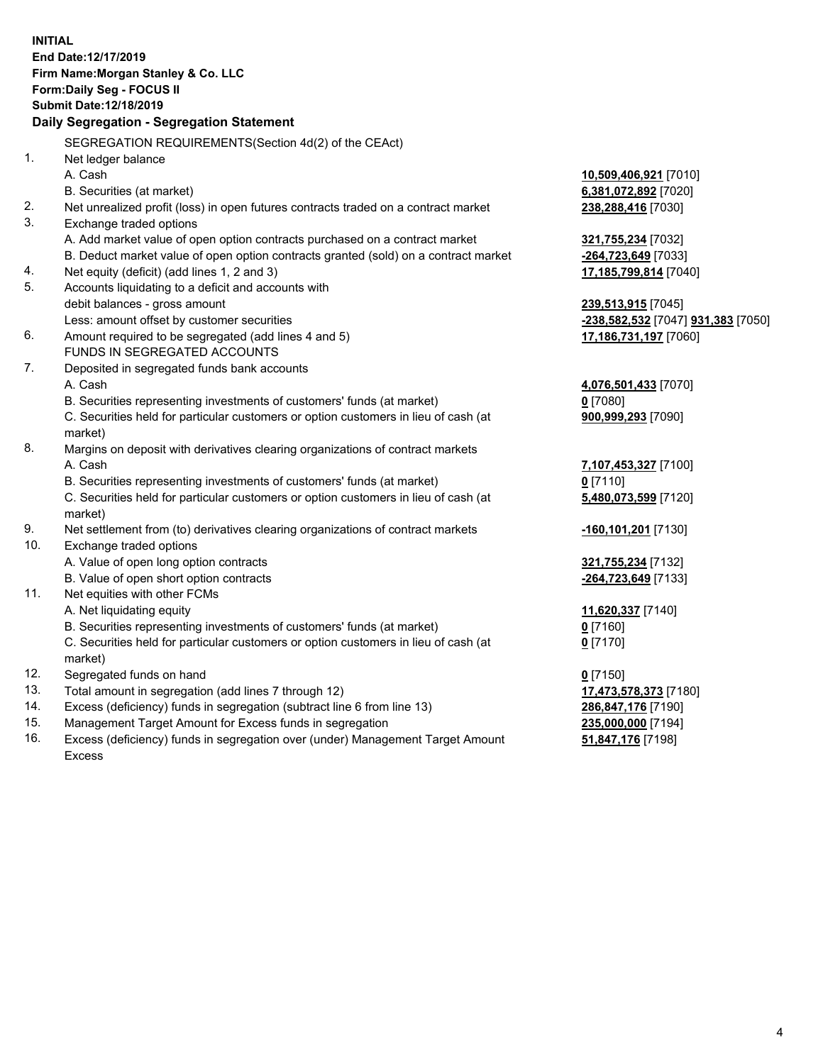|     | <b>INITIAL</b>                                                                                 |                                                  |
|-----|------------------------------------------------------------------------------------------------|--------------------------------------------------|
|     | End Date:12/17/2019                                                                            |                                                  |
|     | Firm Name: Morgan Stanley & Co. LLC                                                            |                                                  |
|     | Form: Daily Seg - FOCUS II                                                                     |                                                  |
|     | Submit Date: 12/18/2019                                                                        |                                                  |
|     | Daily Segregation - Segregation Statement                                                      |                                                  |
|     | SEGREGATION REQUIREMENTS(Section 4d(2) of the CEAct)                                           |                                                  |
| 1.  | Net ledger balance                                                                             |                                                  |
|     | A. Cash                                                                                        | 10,509,406,921 [7010]                            |
|     | B. Securities (at market)                                                                      | 6,381,072,892 [7020]                             |
| 2.  | Net unrealized profit (loss) in open futures contracts traded on a contract market             | 238,288,416 [7030]                               |
| 3.  | Exchange traded options                                                                        |                                                  |
|     | A. Add market value of open option contracts purchased on a contract market                    | 321,755,234 [7032]                               |
|     | B. Deduct market value of open option contracts granted (sold) on a contract market            | -264,723,649 [7033]                              |
| 4.  | Net equity (deficit) (add lines 1, 2 and 3)                                                    | 17,185,799,814 [7040]                            |
| 5.  | Accounts liquidating to a deficit and accounts with                                            |                                                  |
|     | debit balances - gross amount                                                                  | 239,513,915 [7045]                               |
|     | Less: amount offset by customer securities                                                     | <u>-238,582,532</u> [7047] <b>931,383</b> [7050] |
| 6.  | Amount required to be segregated (add lines 4 and 5)                                           | 17,186,731,197 [7060]                            |
|     | FUNDS IN SEGREGATED ACCOUNTS                                                                   |                                                  |
| 7.  | Deposited in segregated funds bank accounts                                                    |                                                  |
|     | A. Cash                                                                                        | 4,076,501,433 [7070]                             |
|     | B. Securities representing investments of customers' funds (at market)                         | $0$ [7080]                                       |
|     | C. Securities held for particular customers or option customers in lieu of cash (at            | 900,999,293 [7090]                               |
|     | market)                                                                                        |                                                  |
| 8.  | Margins on deposit with derivatives clearing organizations of contract markets                 |                                                  |
|     | A. Cash                                                                                        | 7,107,453,327 [7100]                             |
|     | B. Securities representing investments of customers' funds (at market)                         | $0$ [7110]                                       |
|     | C. Securities held for particular customers or option customers in lieu of cash (at<br>market) | 5,480,073,599 [7120]                             |
| 9.  | Net settlement from (to) derivatives clearing organizations of contract markets                | <u>-160,101,201</u> [7130]                       |
| 10. | Exchange traded options                                                                        |                                                  |
|     | A. Value of open long option contracts                                                         | 321,755,234 [7132]                               |
|     | B. Value of open short option contracts                                                        | -264,723,649 [7133]                              |
| 11. | Net equities with other FCMs                                                                   |                                                  |
|     | A. Net liquidating equity                                                                      | 11,620,337 [7140]                                |
|     | B. Securities representing investments of customers' funds (at market)                         | $0$ [7160]                                       |
|     | C. Securities held for particular customers or option customers in lieu of cash (at            | $0$ [7170]                                       |
|     | market)                                                                                        |                                                  |
| 12. | Segregated funds on hand                                                                       | $0$ [7150]                                       |
| 13. | Total amount in segregation (add lines 7 through 12)                                           | 17,473,578,373 [7180]                            |
| 14. | Excess (deficiency) funds in segregation (subtract line 6 from line 13)                        | 286,847,176 [7190]                               |
| 15. | Management Target Amount for Excess funds in segregation                                       | 235,000,000 [7194]                               |
| 16. | Excess (deficiency) funds in segregation over (under) Management Target Amount                 | 51,847,176 [7198]                                |

16. Excess (deficiency) funds in segregation over (under) Management Target Amount Excess